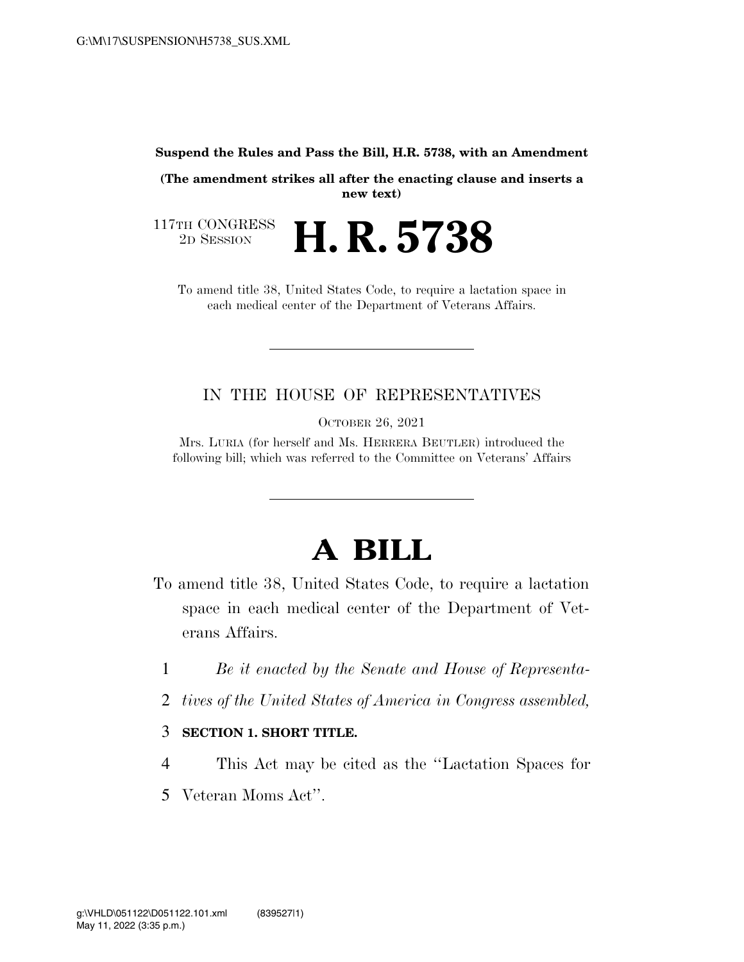#### **Suspend the Rules and Pass the Bill, H.R. 5738, with an Amendment**

**(The amendment strikes all after the enacting clause and inserts a new text)** 

117TH CONGRESS<br>2D SESSION 2D SESSION **H. R. 5738** 

To amend title 38, United States Code, to require a lactation space in each medical center of the Department of Veterans Affairs.

#### IN THE HOUSE OF REPRESENTATIVES

OCTOBER 26, 2021

Mrs. LURIA (for herself and Ms. HERRERA BEUTLER) introduced the following bill; which was referred to the Committee on Veterans' Affairs

## **A BILL**

- To amend title 38, United States Code, to require a lactation space in each medical center of the Department of Veterans Affairs.
	- 1 *Be it enacted by the Senate and House of Representa-*
	- 2 *tives of the United States of America in Congress assembled,*

#### 3 **SECTION 1. SHORT TITLE.**

- 4 This Act may be cited as the ''Lactation Spaces for
- 5 Veteran Moms Act''.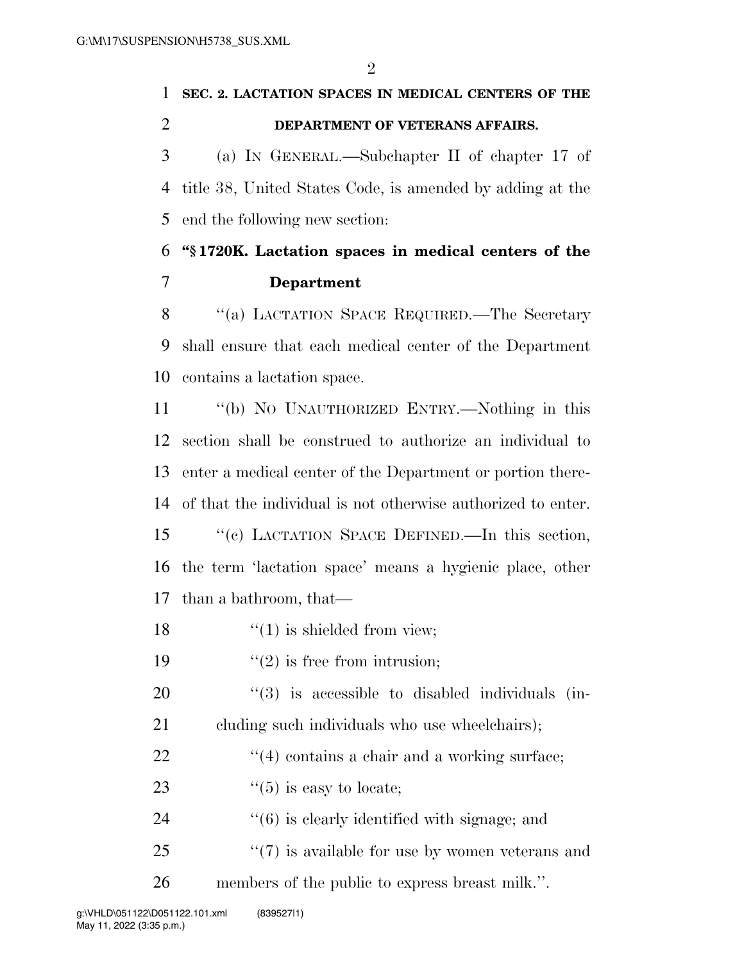$\mathfrak{D}$ 

# **SEC. 2. LACTATION SPACES IN MEDICAL CENTERS OF THE DEPARTMENT OF VETERANS AFFAIRS.**  (a) IN GENERAL.—Subchapter II of chapter 17 of

 title 38, United States Code, is amended by adding at the end the following new section:

### **''§ 1720K. Lactation spaces in medical centers of the Department**

8 "(a) LACTATION SPACE REQUIRED.—The Secretary shall ensure that each medical center of the Department contains a lactation space.

 ''(b) NO UNAUTHORIZED ENTRY.—Nothing in this section shall be construed to authorize an individual to enter a medical center of the Department or portion there-of that the individual is not otherwise authorized to enter.

 ''(c) LACTATION SPACE DEFINED.—In this section, the term 'lactation space' means a hygienic place, other than a bathroom, that—

18  $\frac{1}{2}$   $\frac{1}{2}$  is shielded from view;

19  $"(2)$  is free from intrusion;

  $(3)$  is accessible to disabled individuals (in-cluding such individuals who use wheelchairs);

- $\frac{1}{22}$  ''(4) contains a chair and a working surface;
- 23  $\frac{1}{5}$  is easy to locate;
- 24  $(6)$  is clearly identified with signage; and
- 25 "(7) is available for use by women veterans and

members of the public to express breast milk.''.